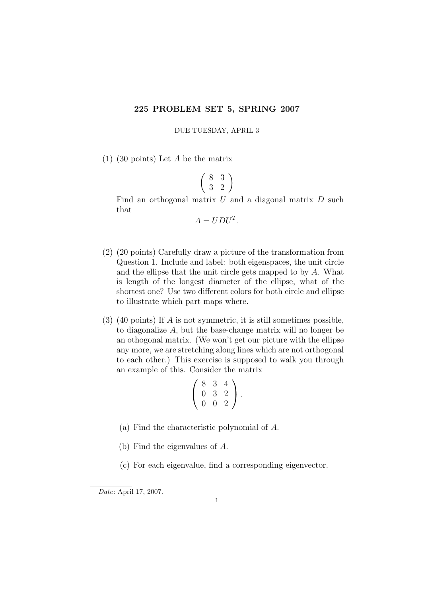## 225 PROBLEM SET 5, SPRING 2007

DUE TUESDAY, APRIL 3

(1) (30 points) Let A be the matrix

$$
\left(\begin{array}{cc}8 & 3\\3 & 2\end{array}\right)
$$

Find an orthogonal matrix  $U$  and a diagonal matrix  $D$  such that

$$
A = UDU^T.
$$

- (2) (20 points) Carefully draw a picture of the transformation from Question 1. Include and label: both eigenspaces, the unit circle and the ellipse that the unit circle gets mapped to by A. What is length of the longest diameter of the ellipse, what of the shortest one? Use two different colors for both circle and ellipse to illustrate which part maps where.
- (3) (40 points) If A is not symmetric, it is still sometimes possible, to diagonalize A, but the base-change matrix will no longer be an othogonal matrix. (We won't get our picture with the ellipse any more, we are stretching along lines which are not orthogonal to each other.) This exercise is supposed to walk you through an example of this. Consider the matrix

$$
\left(\begin{array}{rrr} 8 & 3 & 4 \\ 0 & 3 & 2 \\ 0 & 0 & 2 \end{array}\right).
$$

- (a) Find the characteristic polynomial of A.
- (b) Find the eigenvalues of A.
- (c) For each eigenvalue, find a corresponding eigenvector.

Date: April 17, 2007.